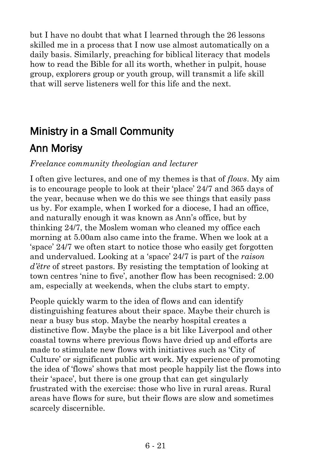but I have no doubt that what I learned through the 26 lessons skilled me in a process that I now use almost automatically on a daily basis. Similarly, preaching for biblical literacy that models how to read the Bible for all its worth, whether in pulpit, house group, explorers group or youth group, will transmit a life skill that will serve listeners well for this life and the next.

# Ministry in a Small Community

# Ann Morisy

#### *Freelance community theologian and lecturer*

I often give lectures, and one of my themes is that of *flows*. My aim is to encourage people to look at their 'place' 24/7 and 365 days of the year, because when we do this we see things that easily pass us by. For example, when I worked for a diocese, I had an office, and naturally enough it was known as Ann's office, but by thinking 24/7, the Moslem woman who cleaned my office each morning at 5.00am also came into the frame. When we look at a 'space' 24/7 we often start to notice those who easily get forgotten and undervalued. Looking at a 'space' 24/7 is part of the *raison d'être* of street pastors. By resisting the temptation of looking at town centres 'nine to five', another flow has been recognised: 2.00 am, especially at weekends, when the clubs start to empty.

People quickly warm to the idea of flows and can identify distinguishing features about their space. Maybe their church is near a busy bus stop. Maybe the nearby hospital creates a distinctive flow. Maybe the place is a bit like Liverpool and other coastal towns where previous flows have dried up and efforts are made to stimulate new flows with initiatives such as 'City of Culture' or significant public art work. My experience of promoting the idea of 'flows' shows that most people happily list the flows into their 'space', but there is one group that can get singularly frustrated with the exercise: those who live in rural areas. Rural areas have flows for sure, but their flows are slow and sometimes scarcely discernible.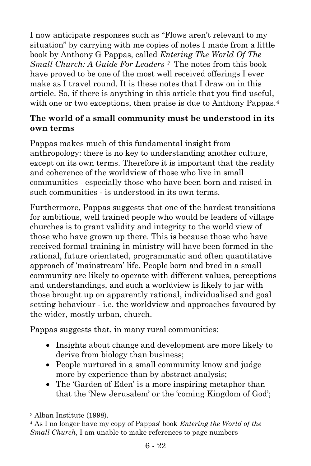I now anticipate responses such as "Flows aren't relevant to my situation" by carrying with me copies of notes I made from a little book by Anthony G Pappas, called *Entering The World Of The Small Church: A Guide For Leaders <sup>3</sup>* The notes from this book have proved to be one of the most well received offerings I ever make as I travel round. It is these notes that I draw on in this article. So, if there is anything in this article that you find useful, with one or two exceptions, then praise is due to Anthony Pappas.<sup>4</sup>

#### **The world of a small community must be understood in its own terms**

Pappas makes much of this fundamental insight from anthropology: there is no key to understanding another culture, except on its own terms. Therefore it is important that the reality and coherence of the worldview of those who live in small communities - especially those who have been born and raised in such communities - is understood in its own terms.

Furthermore, Pappas suggests that one of the hardest transitions for ambitious, well trained people who would be leaders of village churches is to grant validity and integrity to the world view of those who have grown up there. This is because those who have received formal training in ministry will have been formed in the rational, future orientated, programmatic and often quantitative approach of 'mainstream' life. People born and bred in a small community are likely to operate with different values, perceptions and understandings, and such a worldview is likely to jar with those brought up on apparently rational, individualised and goal setting behaviour - i.e. the worldview and approaches favoured by the wider, mostly urban, church.

Pappas suggests that, in many rural communities:

- Insights about change and development are more likely to derive from biology than business;
- People nurtured in a small community know and judge more by experience than by abstract analysis;
- The 'Garden of Eden' is a more inspiring metaphor than that the 'New Jerusalem' or the 'coming Kingdom of God';

l

<sup>3</sup> Alban Institute (1998).

<sup>4</sup> As I no longer have my copy of Pappas' book *Entering the World of the Small Church*, I am unable to make references to page numbers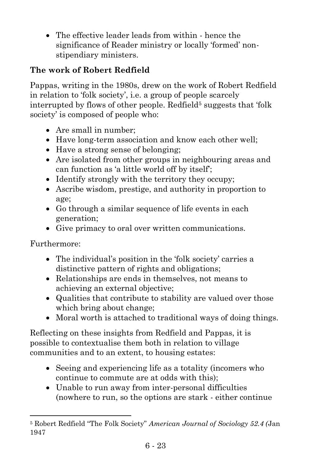• The effective leader leads from within - hence the significance of Reader ministry or locally 'formed' nonstipendiary ministers.

# **The work of Robert Redfield**

Pappas, writing in the 1980s, drew on the work of Robert Redfield in relation to 'folk society', i.e. a group of people scarcely interrupted by flows of other people. Redfield<sup>5</sup> suggests that 'folk society' is composed of people who:

- Are small in number:
- Have long-term association and know each other well;
- Have a strong sense of belonging;
- Are isolated from other groups in neighbouring areas and can function as 'a little world off by itself';
- Identify strongly with the territory they occupy;
- Ascribe wisdom, prestige, and authority in proportion to age;
- Go through a similar sequence of life events in each generation;
- Give primacy to oral over written communications.

Furthermore:

l

- The individual's position in the 'folk society' carries a distinctive pattern of rights and obligations;
- Relationships are ends in themselves, not means to achieving an external objective;
- Qualities that contribute to stability are valued over those which bring about change;
- Moral worth is attached to traditional ways of doing things.

Reflecting on these insights from Redfield and Pappas, it is possible to contextualise them both in relation to village communities and to an extent, to housing estates:

- Seeing and experiencing life as a totality (incomers who continue to commute are at odds with this);
- Unable to run away from inter-personal difficulties (nowhere to run, so the options are stark - either continue

<sup>5</sup> Robert Redfield "The Folk Society" *American Journal of Sociology 52.4 (*Jan 1947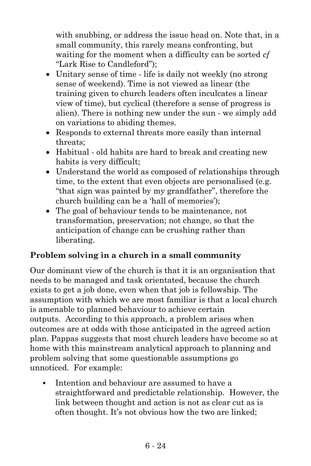with snubbing, or address the issue head on. Note that, in a small community, this rarely means confronting, but waiting for the moment when a difficulty can be sorted *cf*  "Lark Rise to Candleford");

- Unitary sense of time life is daily not weekly (no strong) sense of weekend). Time is not viewed as linear (the training given to church leaders often inculcates a linear view of time), but cyclical (therefore a sense of progress is alien). There is nothing new under the sun - we simply add on variations to abiding themes.
- Responds to external threats more easily than internal threats;
- Habitual old habits are hard to break and creating new habits is very difficult;
- Understand the world as composed of relationships through time, to the extent that even objects are personalised (e.g. "that sign was painted by my grandfather", therefore the church building can be a 'hall of memories');
- The goal of behaviour tends to be maintenance, not transformation, preservation; not change, so that the anticipation of change can be crushing rather than liberating.

#### **Problem solving in a church in a small community**

Our dominant view of the church is that it is an organisation that needs to be managed and task orientated, because the church exists to get a job done, even when that job is fellowship. The assumption with which we are most familiar is that a local church is amenable to planned behaviour to achieve certain outputs. According to this approach, a problem arises when outcomes are at odds with those anticipated in the agreed action plan. Pappas suggests that most church leaders have become so at home with this mainstream analytical approach to planning and problem solving that some questionable assumptions go unnoticed. For example:

**•** Intention and behaviour are assumed to have a straightforward and predictable relationship. However, the link between thought and action is not as clear cut as is often thought. It's not obvious how the two are linked;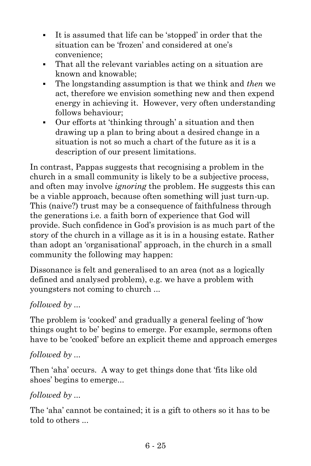- It is assumed that life can be 'stopped' in order that the situation can be 'frozen' and considered at one's convenience;
- That all the relevant variables acting on a situation are known and knowable;
- The longstanding assumption is that we think and *then* we act, therefore we envision something new and then expend energy in achieving it. However, very often understanding follows behaviour;
- Our efforts at 'thinking through' a situation and then drawing up a plan to bring about a desired change in a situation is not so much a chart of the future as it is a description of our present limitations.

In contrast, Pappas suggests that recognising a problem in the church in a small community is likely to be a subjective process, and often may involve *ignoring* the problem. He suggests this can be a viable approach, because often something will just turn-up. This (naive?) trust may be a consequence of faithfulness through the generations i.e. a faith born of experience that God will provide. Such confidence in God's provision is as much part of the story of the church in a village as it is in a housing estate. Rather than adopt an 'organisational' approach, in the church in a small community the following may happen:

Dissonance is felt and generalised to an area (not as a logically defined and analysed problem), e.g. we have a problem with youngsters not coming to church ...

# *followed by ...*

The problem is 'cooked' and gradually a general feeling of 'how things ought to be' begins to emerge. For example, sermons often have to be 'cooked' before an explicit theme and approach emerges

#### *followed by ...*

Then 'aha' occurs. A way to get things done that 'fits like old shoes' begins to emerge...

# *followed by ...*

The 'aha' cannot be contained; it is a gift to others so it has to be told to others ...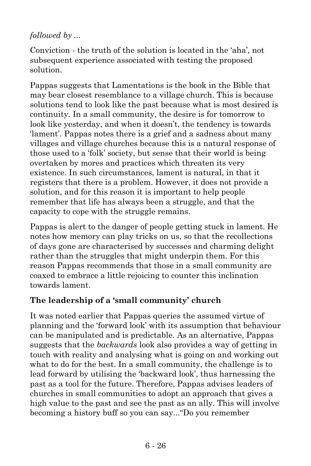# *followed by ...*

Conviction - the truth of the solution is located in the 'aha', not subsequent experience associated with testing the proposed solution.

Pappas suggests that Lamentations is the book in the Bible that may bear closest resemblance to a village church. This is because solutions tend to look like the past because what is most desired is continuity. In a small community, the desire is for tomorrow to look like yesterday, and when it doesn't, the tendency is towards 'lament'. Pappas notes there is a grief and a sadness about many villages and village churches because this is a natural response of those used to a 'folk' society, but sense that their world is being overtaken by mores and practices which threaten its very existence. In such circumstances, lament is natural, in that it registers that there is a problem. However, it does not provide a solution, and for this reason it is important to help people remember that life has always been a struggle, and that the capacity to cope with the struggle remains.

Pappas is alert to the danger of people getting stuck in lament. He notes how memory can play tricks on us, so that the recollections of days gone are characterised by successes and charming delight rather than the struggles that might underpin them. For this reason Pappas recommends that those in a small community are coaxed to embrace a little rejoicing to counter this inclination towards lament.

# **The leadership of a 'small community' church**

It was noted earlier that Pappas queries the assumed virtue of planning and the 'forward look' with its assumption that behaviour can be manipulated and is predictable. As an alternative, Pappas suggests that the *backwards* look also provides a way of getting in touch with reality and analysing what is going on and working out what to do for the best. In a small community, the challenge is to lead forward by utilising the 'backward look', thus harnessing the past as a tool for the future. Therefore, Pappas advises leaders of churches in small communities to adopt an approach that gives a high value to the past and see the past as an ally. This will involve becoming a history buff so you can say..."Do you remember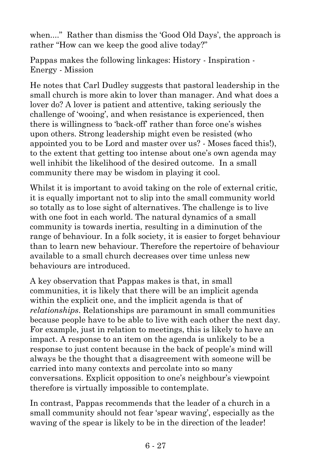when...." Rather than dismiss the 'Good Old Days', the approach is rather "How can we keep the good alive today?"

Pappas makes the following linkages: History - Inspiration - Energy - Mission

He notes that Carl Dudley suggests that pastoral leadership in the small church is more akin to lover than manager. And what does a lover do? A lover is patient and attentive, taking seriously the challenge of 'wooing', and when resistance is experienced, then there is willingness to 'back-off' rather than force one's wishes upon others. Strong leadership might even be resisted (who appointed you to be Lord and master over us? - Moses faced this!), to the extent that getting too intense about one's own agenda may well inhibit the likelihood of the desired outcome. In a small community there may be wisdom in playing it cool.

Whilst it is important to avoid taking on the role of external critic, it is equally important not to slip into the small community world so totally as to lose sight of alternatives. The challenge is to live with one foot in each world. The natural dynamics of a small community is towards inertia, resulting in a diminution of the range of behaviour. In a folk society, it is easier to forget behaviour than to learn new behaviour. Therefore the repertoire of behaviour available to a small church decreases over time unless new behaviours are introduced.

A key observation that Pappas makes is that, in small communities, it is likely that there will be an implicit agenda within the explicit one, and the implicit agenda is that of *relationships*. Relationships are paramount in small communities because people have to be able to live with each other the next day. For example, just in relation to meetings, this is likely to have an impact. A response to an item on the agenda is unlikely to be a response to just content because in the back of people's mind will always be the thought that a disagreement with someone will be carried into many contexts and percolate into so many conversations. Explicit opposition to one's neighbour's viewpoint therefore is virtually impossible to contemplate.

In contrast, Pappas recommends that the leader of a church in a small community should not fear 'spear waving', especially as the waving of the spear is likely to be in the direction of the leader!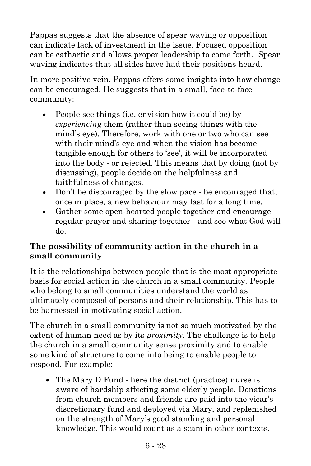Pappas suggests that the absence of spear waving or opposition can indicate lack of investment in the issue. Focused opposition can be cathartic and allows proper leadership to come forth. Spear waving indicates that all sides have had their positions heard.

In more positive vein, Pappas offers some insights into how change can be encouraged. He suggests that in a small, face-to-face community:

- People see things (i.e. envision how it could be) by *experiencing* them (rather than seeing things with the mind's eye). Therefore, work with one or two who can see with their mind's eye and when the vision has become tangible enough for others to 'see', it will be incorporated into the body - or rejected. This means that by doing (not by discussing), people decide on the helpfulness and faithfulness of changes.
- Don't be discouraged by the slow pace be encouraged that, once in place, a new behaviour may last for a long time.
- Gather some open-hearted people together and encourage regular prayer and sharing together - and see what God will do.

### **The possibility of community action in the church in a small community**

It is the relationships between people that is the most appropriate basis for social action in the church in a small community. People who belong to small communities understand the world as ultimately composed of persons and their relationship. This has to be harnessed in motivating social action.

The church in a small community is not so much motivated by the extent of human need as by its *proximity*. The challenge is to help the church in a small community sense proximity and to enable some kind of structure to come into being to enable people to respond. For example:

• The Mary D Fund - here the district (practice) nurse is aware of hardship affecting some elderly people. Donations from church members and friends are paid into the vicar's discretionary fund and deployed via Mary, and replenished on the strength of Mary's good standing and personal knowledge. This would count as a scam in other contexts.